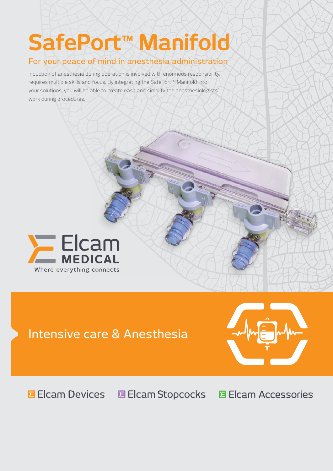# **SafePort™ Manifold**

## For your peace of mind in anesthesia administration

Induction of anesthesia during operation is involved with enormous responsibility, requires multiple skills and focus. By integrating the SafePort™ Manifold into your solutions, you will be able to create ease and simplify the anesthesiologists' work during procedures.



## Intensive care & Anesthesia



#### **Elcam Devices E** Elcam Stopcocks **El Cam Accessories**